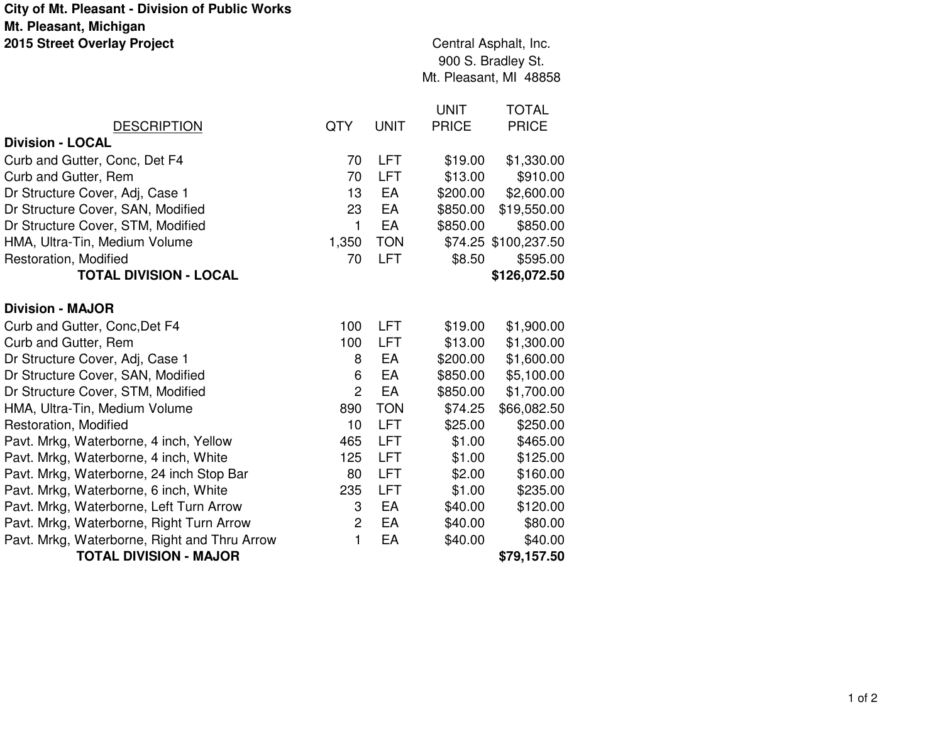## **City of Mt. Pleasant - Division of Public WorksMt. Pleasant, Michigan**

**2015 Street Overlay Project**

## Central Asphalt, Inc. 900 S. Bradley St. Mt. Pleasant, MI 48858

|                                              |                |             | <b>UNIT</b>  | <b>TOTAL</b>         |
|----------------------------------------------|----------------|-------------|--------------|----------------------|
| <b>DESCRIPTION</b>                           | <b>QTY</b>     | <b>UNIT</b> | <b>PRICE</b> | <b>PRICE</b>         |
| <b>Division - LOCAL</b>                      |                |             |              |                      |
| Curb and Gutter, Conc, Det F4                | 70             | <b>LFT</b>  | \$19.00      | \$1,330.00           |
| Curb and Gutter, Rem                         | 70             | <b>LFT</b>  | \$13.00      | \$910.00             |
| Dr Structure Cover, Adj, Case 1              | 13             | EA          | \$200.00     | \$2,600.00           |
| Dr Structure Cover, SAN, Modified            | 23             | EA          | \$850.00     | \$19,550.00          |
| Dr Structure Cover, STM, Modified            | 1              | EA          | \$850.00     | \$850.00             |
| HMA, Ultra-Tin, Medium Volume                | 1,350          | <b>TON</b>  |              | \$74.25 \$100,237.50 |
| Restoration, Modified                        | 70             | <b>LFT</b>  | \$8.50       | \$595.00             |
| <b>TOTAL DIVISION - LOCAL</b>                |                |             |              | \$126,072.50         |
| <b>Division - MAJOR</b>                      |                |             |              |                      |
| Curb and Gutter, Conc, Det F4                | 100            | <b>LFT</b>  | \$19.00      | \$1,900.00           |
| Curb and Gutter, Rem                         | 100            | <b>LFT</b>  | \$13.00      | \$1,300.00           |
| Dr Structure Cover, Adj, Case 1              | 8              | EA          | \$200.00     | \$1,600.00           |
| Dr Structure Cover, SAN, Modified            | 6              | EA          | \$850.00     | \$5,100.00           |
| Dr Structure Cover, STM, Modified            | $\overline{2}$ | EA          | \$850.00     | \$1,700.00           |
| HMA, Ultra-Tin, Medium Volume                | 890            | <b>TON</b>  | \$74.25      | \$66,082.50          |
| Restoration, Modified                        | 10             | <b>LFT</b>  | \$25.00      | \$250.00             |
| Pavt. Mrkg, Waterborne, 4 inch, Yellow       | 465            | <b>LFT</b>  | \$1.00       | \$465.00             |
| Pavt. Mrkg, Waterborne, 4 inch, White        | 125            | <b>LFT</b>  | \$1.00       | \$125.00             |
| Pavt. Mrkg, Waterborne, 24 inch Stop Bar     | 80             | <b>LFT</b>  | \$2.00       | \$160.00             |
| Pavt. Mrkg, Waterborne, 6 inch, White        | 235            | <b>LFT</b>  | \$1.00       | \$235.00             |
| Pavt. Mrkg, Waterborne, Left Turn Arrow      | 3              | EA          | \$40.00      | \$120.00             |
| Pavt. Mrkg, Waterborne, Right Turn Arrow     | $\overline{2}$ | EA          | \$40.00      | \$80.00              |
| Pavt. Mrkg, Waterborne, Right and Thru Arrow | $\blacksquare$ | EA          | \$40.00      | \$40.00              |
| <b>TOTAL DIVISION - MAJOR</b>                |                |             |              | \$79,157.50          |